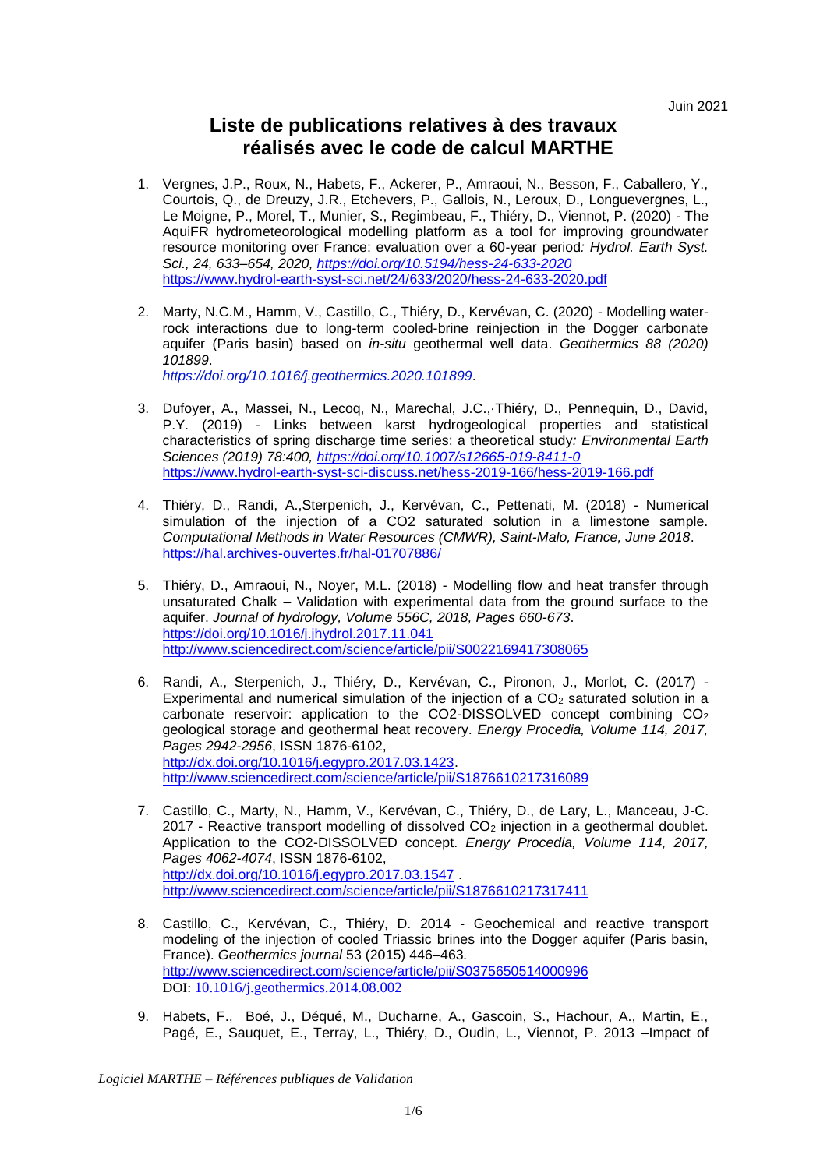## **Liste de publications relatives à des travaux réalisés avec le code de calcul MARTHE**

- 1. Vergnes, J.P., Roux, N., Habets, F., Ackerer, P., Amraoui, N., Besson, F., Caballero, Y., Courtois, Q., de Dreuzy, J.R., Etchevers, P., Gallois, N., Leroux, D., Longuevergnes, L., Le Moigne, P., Morel, T., Munier, S., Regimbeau, F., Thiéry, D., Viennot, P. (2020) - The AquiFR hydrometeorological modelling platform as a tool for improving groundwater resource monitoring over France: evaluation over a 60-year period*: Hydrol. Earth Syst. Sci., 24, 633–654, 2020,<https://doi.org/10.5194/hess-24-633-2020>* <https://www.hydrol-earth-syst-sci.net/24/633/2020/hess-24-633-2020.pdf>
- 2. Marty, N.C.M., Hamm, V., Castillo, C., Thiéry, D., Kervévan, C. (2020) Modelling waterrock interactions due to long-term cooled-brine reinjection in the Dogger carbonate aquifer (Paris basin) based on *in-situ* geothermal well data. *Geothermics 88 (2020) 101899*. *<https://doi.org/10.1016/j.geothermics.2020.101899>*.
- 3. Dufoyer, A., Massei, N., Lecoq, N., Marechal, J.C.,·Thiéry, D., Pennequin, D., David, P.Y. (2019) - Links between karst hydrogeological properties and statistical characteristics of spring discharge time series: a theoretical study*: Environmental Earth Sciences (2019) 78:400,<https://doi.org/10.1007/s12665-019-8411-0>* <https://www.hydrol-earth-syst-sci-discuss.net/hess-2019-166/hess-2019-166.pdf>
- 4. Thiéry, D., Randi, A.,Sterpenich, J., Kervévan, C., Pettenati, M. (2018) Numerical simulation of the injection of a CO2 saturated solution in a limestone sample. *Computational Methods in Water Resources (CMWR), Saint-Malo, France, June 2018*. <https://hal.archives-ouvertes.fr/hal-01707886/>
- 5. Thiéry, D., Amraoui, N., Noyer, M.L. (2018) Modelling flow and heat transfer through unsaturated Chalk – Validation with experimental data from the ground surface to the aquifer. *Journal of hydrology, Volume 556C, 2018, Pages 660-673*. <https://doi.org/10.1016/j.jhydrol.2017.11.041> <http://www.sciencedirect.com/science/article/pii/S0022169417308065>
- 6. Randi, A., Sterpenich, J., Thiéry, D., Kervévan, C., Pironon, J., Morlot, C. (2017) Experimental and numerical simulation of the injection of a  $CO<sub>2</sub>$  saturated solution in a carbonate reservoir: application to the CO2-DISSOLVED concept combining CO<sup>2</sup> geological storage and geothermal heat recovery. *Energy Procedia, Volume 114, 2017, Pages 2942-2956*, ISSN 1876-6102, [http://dx.doi.org/10.1016/j.egypro.2017.03.1423.](http://dx.doi.org/10.1016/j.egypro.2017.03.1423) <http://www.sciencedirect.com/science/article/pii/S1876610217316089>
- 7. Castillo, C., Marty, N., Hamm, V., Kervévan, C., Thiéry, D., de Lary, L., Manceau, J-C. 2017 - Reactive transport modelling of dissolved  $CO<sub>2</sub>$  injection in a geothermal doublet. Application to the CO2-DISSOLVED concept. *Energy Procedia, Volume 114, 2017, Pages 4062-4074*, ISSN 1876-6102, <http://dx.doi.org/10.1016/j.egypro.2017.03.1547> . <http://www.sciencedirect.com/science/article/pii/S1876610217317411>
- 8. Castillo, C., Kervévan, C., Thiéry, D. 2014 Geochemical and reactive transport modeling of the injection of cooled Triassic brines into the Dogger aquifer (Paris basin, France). *Geothermics journal* 53 (2015) 446–463*.* <http://www.sciencedirect.com/science/article/pii/S0375650514000996> DOI: [10.1016/j.geothermics.2014.08.002](http://dx.doi.org/10.1016/j.geothermics.2014.08.002)
- 9. Habets, F., Boé, J., Déqué, M., Ducharne, A., Gascoin, S., Hachour, A., Martin, E., Pagé, E., Sauquet, E., Terray, L., Thiéry, D., Oudin, L., Viennot, P. 2013 –Impact of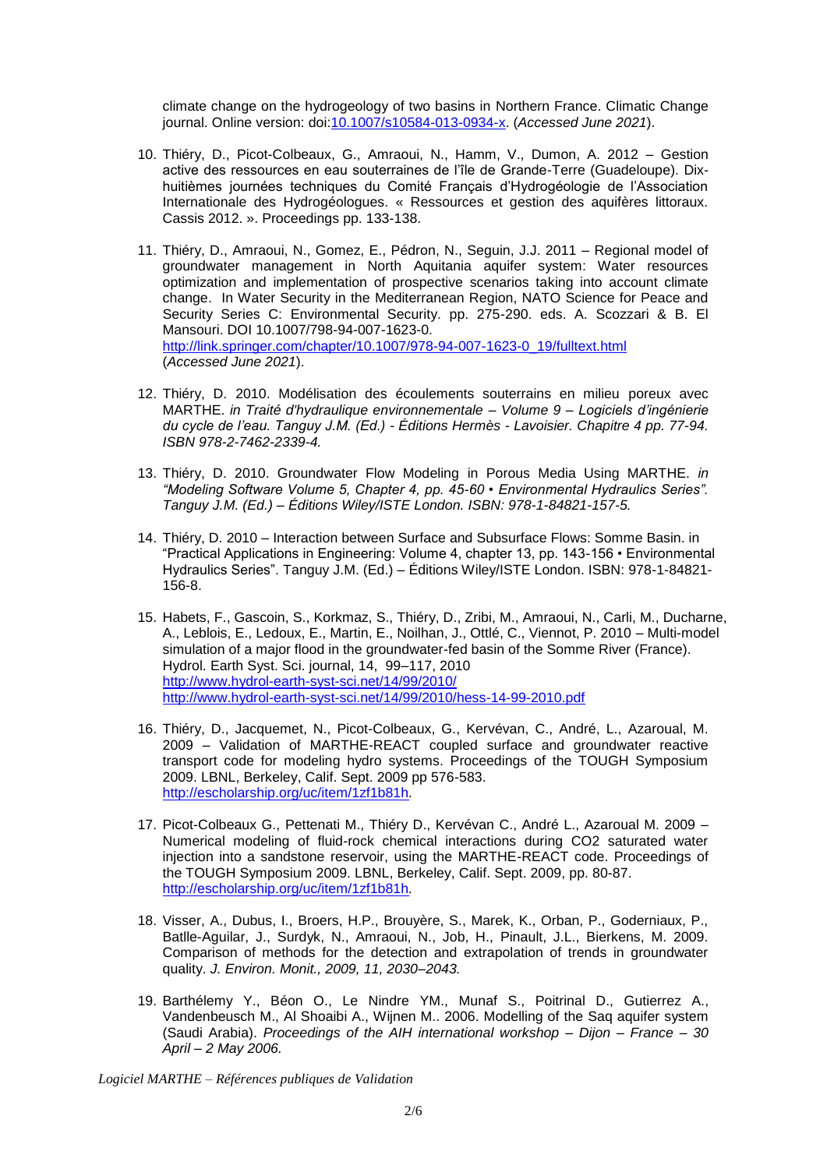climate change on the hydrogeology of two basins in Northern France. Climatic Change journal. Online version: doi[:10.1007/s10584-013-0934-x.](http://dx.doi.org/10.1007/s10584-013-0934-x) (*Accessed June 2021*).

- 10. Thiéry, D., Picot-Colbeaux, G., Amraoui, N., Hamm, V., Dumon, A. 2012 Gestion active des ressources en eau souterraines de l'île de Grande-Terre (Guadeloupe). Dixhuitièmes journées techniques du Comité Français d'Hydrogéologie de l'Association Internationale des Hydrogéologues. « Ressources et gestion des aquifères littoraux. Cassis 2012. ». Proceedings pp. 133-138.
- 11. Thiéry, D., Amraoui, N., Gomez, E., Pédron, N., Seguin, J.J. 2011 Regional model of groundwater management in North Aquitania aquifer system: Water resources optimization and implementation of prospective scenarios taking into account climate change. In Water Security in the Mediterranean Region, NATO Science for Peace and Security Series C: Environmental Security. pp. 275-290. eds. A. Scozzari & B. El Mansouri. DOI 10.1007/798-94-007-1623-0. [http://link.springer.com/chapter/10.1007/978-94-007-1623-0\\_19/fulltext.html](http://link.springer.com/chapter/10.1007/978-94-007-1623-0_19/fulltext.html) (*Accessed June 2021*).
- 12. Thiéry, D. 2010. Modélisation des écoulements souterrains en milieu poreux avec MARTHE. *in Traité d'hydraulique environnementale – Volume 9 – Logiciels d'ingénierie du cycle de l'eau. Tanguy J.M. (Ed.) - Éditions Hermès - Lavoisier. Chapitre 4 pp. 77-94. ISBN 978-2-7462-2339-4.*
- 13. Thiéry, D. 2010. Groundwater Flow Modeling in Porous Media Using MARTHE. *in "Modeling Software Volume 5, Chapter 4, pp. 45-60 • Environmental Hydraulics Series". Tanguy J.M. (Ed.) – Éditions Wiley/ISTE London. ISBN: 978-1-84821-157-5.*
- 14. Thiéry, D. 2010 Interaction between Surface and Subsurface Flows: Somme Basin. in "Practical Applications in Engineering: Volume 4, chapter 13, pp. 143-156 • Environmental Hydraulics Series". Tanguy J.M. (Ed.) – Éditions Wiley/ISTE London. ISBN: 978-1-84821- 156-8.
- 15. Habets, F., Gascoin, S., Korkmaz, S., Thiéry, D., Zribi, M., Amraoui, N., Carli, M., Ducharne, A., Leblois, E., Ledoux, E., Martin, E., Noilhan, J., Ottlé, C., Viennot, P. 2010 – Multi-model simulation of a major flood in the groundwater-fed basin of the Somme River (France). Hydrol. Earth Syst. Sci. journal, 14, 99–117, 2010 <http://www.hydrol-earth-syst-sci.net/14/99/2010/> <http://www.hydrol-earth-syst-sci.net/14/99/2010/hess-14-99-2010.pdf>
- 16. Thiéry, D., Jacquemet, N., Picot-Colbeaux, G., Kervévan, C., André, L., Azaroual, M. 2009 – Validation of MARTHE-REACT coupled surface and groundwater reactive transport code for modeling hydro systems. Proceedings of the TOUGH Symposium 2009. LBNL, Berkeley, Calif. Sept. 2009 pp 576-583. <http://escholarship.org/uc/item/1zf1b81h>*.*
- 17. Picot-Colbeaux G., Pettenati M., Thiéry D., Kervévan C., André L., Azaroual M. 2009 Numerical modeling of fluid-rock chemical interactions during CO2 saturated water injection into a sandstone reservoir, using the MARTHE-REACT code. Proceedings of the TOUGH Symposium 2009. LBNL, Berkeley, Calif. Sept. 2009, pp. 80-87. <http://escholarship.org/uc/item/1zf1b81h>*.*
- 18. Visser, A., Dubus, I., Broers, H.P., Brouyère, S., Marek, K., Orban, P., Goderniaux, P., Batlle-Aguilar, J., Surdyk, N., Amraoui, N., Job, H., Pinault, J.L., Bierkens, M. 2009. Comparison of methods for the detection and extrapolation of trends in groundwater quality. *J. Environ. Monit., 2009, 11, 2030–2043.*
- 19. Barthélemy Y., Béon O., Le Nindre YM., Munaf S., Poitrinal D., Gutierrez A., Vandenbeusch M., Al Shoaibi A., Wijnen M.. 2006. Modelling of the Saq aquifer system (Saudi Arabia). *Proceedings of the AIH international workshop – Dijon – France – 30 April – 2 May 2006.*

*Logiciel MARTHE – Références publiques de Validation*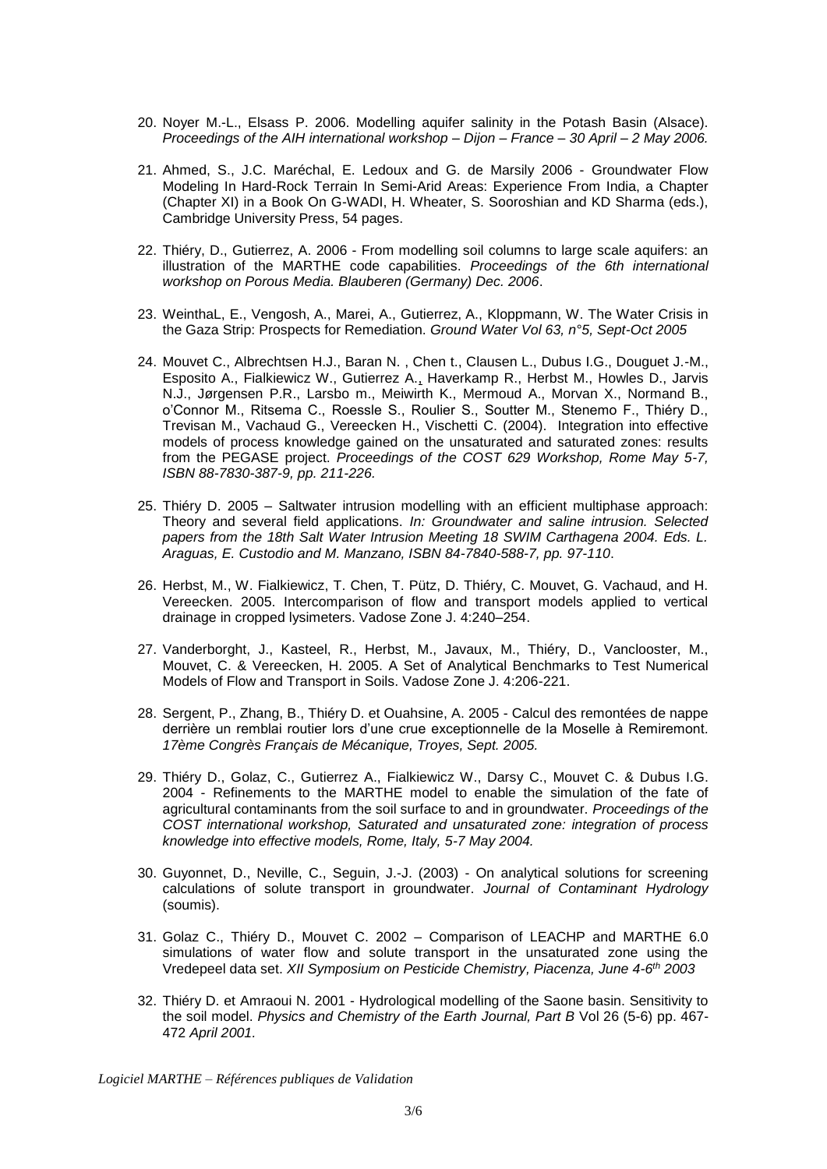- 20. Noyer M.-L., Elsass P. 2006. Modelling aquifer salinity in the Potash Basin (Alsace). *Proceedings of the AIH international workshop – Dijon – France – 30 April – 2 May 2006.*
- 21. Ahmed, S., J.C. Maréchal, E. Ledoux and G. de Marsily 2006 Groundwater Flow Modeling In Hard-Rock Terrain In Semi-Arid Areas: Experience From India, a Chapter (Chapter XI) in a Book On G-WADI, H. Wheater, S. Sooroshian and KD Sharma (eds.), Cambridge University Press, 54 pages.
- 22. Thiéry, D., Gutierrez, A. 2006 From modelling soil columns to large scale aquifers: an illustration of the MARTHE code capabilities. *Proceedings of the 6th international workshop on Porous Media. Blauberen (Germany) Dec. 2006*.
- 23. WeinthaL, E., Vengosh, A., Marei, A., Gutierrez, A., Kloppmann, W. The Water Crisis in the Gaza Strip: Prospects for Remediation. *Ground Water Vol 63, n°5, Sept-Oct 2005*
- 24. Mouvet C., Albrechtsen H.J., Baran N. , Chen t., Clausen L., Dubus I.G., Douguet J.-M., Esposito A., Fialkiewicz W., Gutierrez A., Haverkamp R., Herbst M., Howles D., Jarvis N.J., Jørgensen P.R., Larsbo m., Meiwirth K., Mermoud A., Morvan X., Normand B., o'Connor M., Ritsema C., Roessle S., Roulier S., Soutter M., Stenemo F., Thiéry D., Trevisan M., Vachaud G., Vereecken H., Vischetti C. (2004). Integration into effective models of process knowledge gained on the unsaturated and saturated zones: results from the PEGASE project. *Proceedings of the COST 629 Workshop, Rome May 5-7, ISBN 88-7830-387-9, pp. 211-226.*
- 25. Thiéry D. 2005 Saltwater intrusion modelling with an efficient multiphase approach: Theory and several field applications. *In: Groundwater and saline intrusion. Selected papers from the 18th Salt Water Intrusion Meeting 18 SWIM Carthagena 2004. Eds. L. Araguas, E. Custodio and M. Manzano, ISBN 84-7840-588-7, pp. 97-110*.
- 26. Herbst, M., W. Fialkiewicz, T. Chen, T. Pütz, D. Thiéry, C. Mouvet, G. Vachaud, and H. Vereecken. 2005. Intercomparison of flow and transport models applied to vertical drainage in cropped lysimeters. Vadose Zone J. 4:240–254.
- 27. Vanderborght, J., Kasteel, R., Herbst, M., Javaux, M., Thiéry, D., Vanclooster, M., Mouvet, C. & Vereecken, H. 2005. A Set of Analytical Benchmarks to Test Numerical Models of Flow and Transport in Soils. Vadose Zone J. 4:206-221.
- 28. Sergent, P., Zhang, B., Thiéry D. et Ouahsine, A. 2005 Calcul des remontées de nappe derrière un remblai routier lors d'une crue exceptionnelle de la Moselle à Remiremont*. 17ème Congrès Français de Mécanique, Troyes, Sept. 2005.*
- 29. Thiéry D., Golaz, C., Gutierrez A., Fialkiewicz W., Darsy C., Mouvet C. & Dubus I.G. 2004 - Refinements to the MARTHE model to enable the simulation of the fate of agricultural contaminants from the soil surface to and in groundwater. *Proceedings of the COST international workshop, Saturated and unsaturated zone: integration of process knowledge into effective models, Rome, Italy, 5-7 May 2004.*
- 30. Guyonnet, D., Neville, C., Seguin, J.-J. (2003) On analytical solutions for screening calculations of solute transport in groundwater. *Journal of Contaminant Hydrology* (soumis).
- 31. Golaz C., Thiéry D., Mouvet C. 2002 Comparison of LEACHP and MARTHE 6.0 simulations of water flow and solute transport in the unsaturated zone using the Vredepeel data set. *XII Symposium on Pesticide Chemistry, Piacenza, June 4-6 th 2003*
- 32. Thiéry D. et Amraoui N. 2001 Hydrological modelling of the Saone basin. Sensitivity to the soil model. *Physics and Chemistry of the Earth Journal, Part B* Vol 26 (5-6) pp. 467- 472 *April 2001.*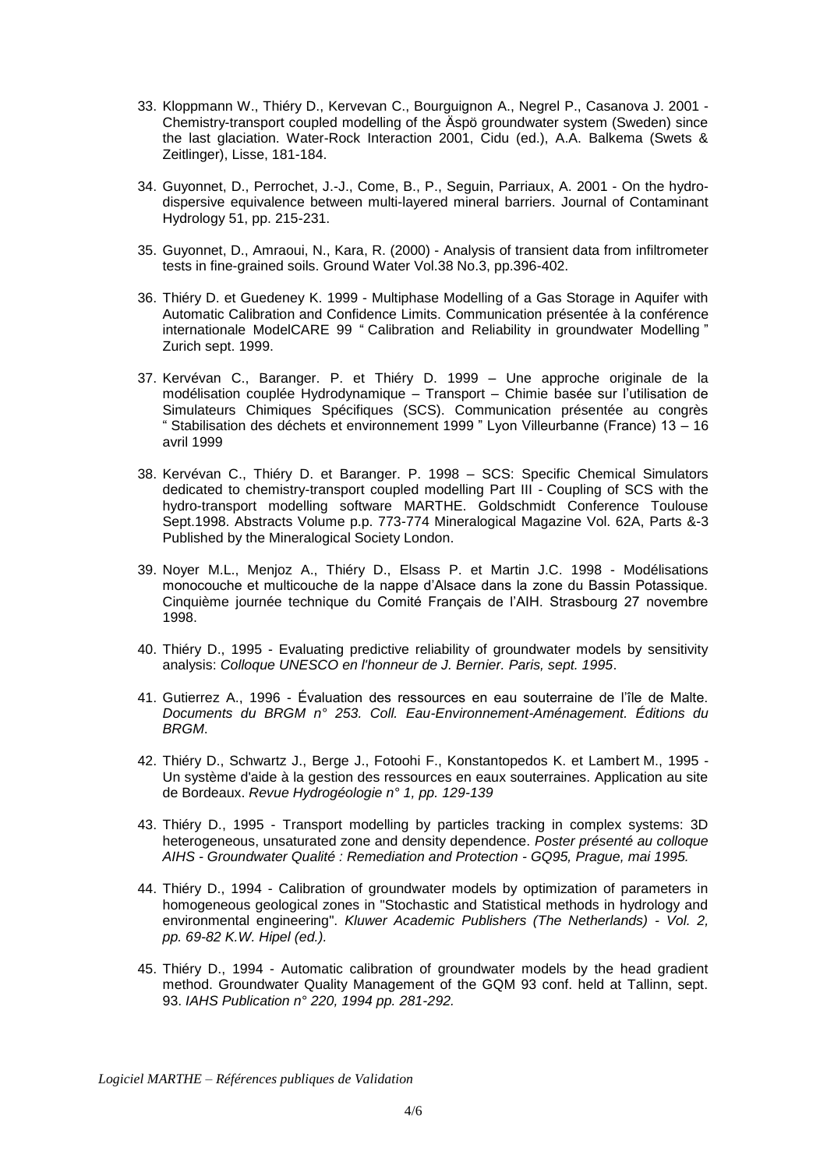- 33. Kloppmann W., Thiéry D., Kervevan C., Bourguignon A., Negrel P., Casanova J. 2001 Chemistry-transport coupled modelling of the Äspö groundwater system (Sweden) since the last glaciation. Water-Rock Interaction 2001, Cidu (ed.), A.A. Balkema (Swets & Zeitlinger), Lisse, 181-184.
- 34. Guyonnet, D., Perrochet, J.-J., Come, B., P., Seguin, Parriaux, A. 2001 On the hydrodispersive equivalence between multi-layered mineral barriers. Journal of Contaminant Hydrology 51, pp. 215-231.
- 35. Guyonnet, D., Amraoui, N., Kara, R. (2000) Analysis of transient data from infiltrometer tests in fine-grained soils. Ground Water Vol.38 No.3, pp.396-402.
- 36. Thiéry D. et Guedeney K. 1999 Multiphase Modelling of a Gas Storage in Aquifer with Automatic Calibration and Confidence Limits. Communication présentée à la conférence internationale ModelCARE 99 " Calibration and Reliability in groundwater Modelling " Zurich sept. 1999.
- 37. Kervévan C., Baranger. P. et Thiéry D. 1999 Une approche originale de la modélisation couplée Hydrodynamique – Transport – Chimie basée sur l'utilisation de Simulateurs Chimiques Spécifiques (SCS). Communication présentée au congrès " Stabilisation des déchets et environnement 1999 " Lyon Villeurbanne (France) 13 – 16 avril 1999
- 38. Kervévan C., Thiéry D. et Baranger. P. 1998 SCS: Specific Chemical Simulators dedicated to chemistry-transport coupled modelling Part III - Coupling of SCS with the hydro-transport modelling software MARTHE. Goldschmidt Conference Toulouse Sept.1998. Abstracts Volume p.p. 773-774 Mineralogical Magazine Vol. 62A, Parts &-3 Published by the Mineralogical Society London.
- 39. Noyer M.L., Menjoz A., Thiéry D., Elsass P. et Martin J.C. 1998 Modélisations monocouche et multicouche de la nappe d'Alsace dans la zone du Bassin Potassique. Cinquième journée technique du Comité Français de l'AIH. Strasbourg 27 novembre 1998.
- 40. Thiéry D., 1995 Evaluating predictive reliability of groundwater models by sensitivity analysis: *Colloque UNESCO en l'honneur de J. Bernier. Paris, sept. 1995*.
- 41. Gutierrez A., 1996 Évaluation des ressources en eau souterraine de l'île de Malte. *Documents du BRGM n° 253. Coll. Eau-Environnement-Aménagement. Éditions du BRGM*.
- 42. Thiéry D., Schwartz J., Berge J., Fotoohi F., Konstantopedos K. et Lambert M., 1995 Un système d'aide à la gestion des ressources en eaux souterraines. Application au site de Bordeaux. *Revue Hydrogéologie n° 1, pp. 129-139*
- 43. Thiéry D., 1995 Transport modelling by particles tracking in complex systems: 3D heterogeneous, unsaturated zone and density dependence. *Poster présenté au colloque AIHS - Groundwater Qualité : Remediation and Protection - GQ95, Prague, mai 1995.*
- 44. Thiéry D., 1994 Calibration of groundwater models by optimization of parameters in homogeneous geological zones in "Stochastic and Statistical methods in hydrology and environmental engineering". *Kluwer Academic Publishers (The Netherlands) - Vol. 2, pp. 69-82 K.W. Hipel (ed.).*
- 45. Thiéry D., 1994 Automatic calibration of groundwater models by the head gradient method. Groundwater Quality Management of the GQM 93 conf. held at Tallinn, sept. 93. *IAHS Publication n° 220, 1994 pp. 281-292.*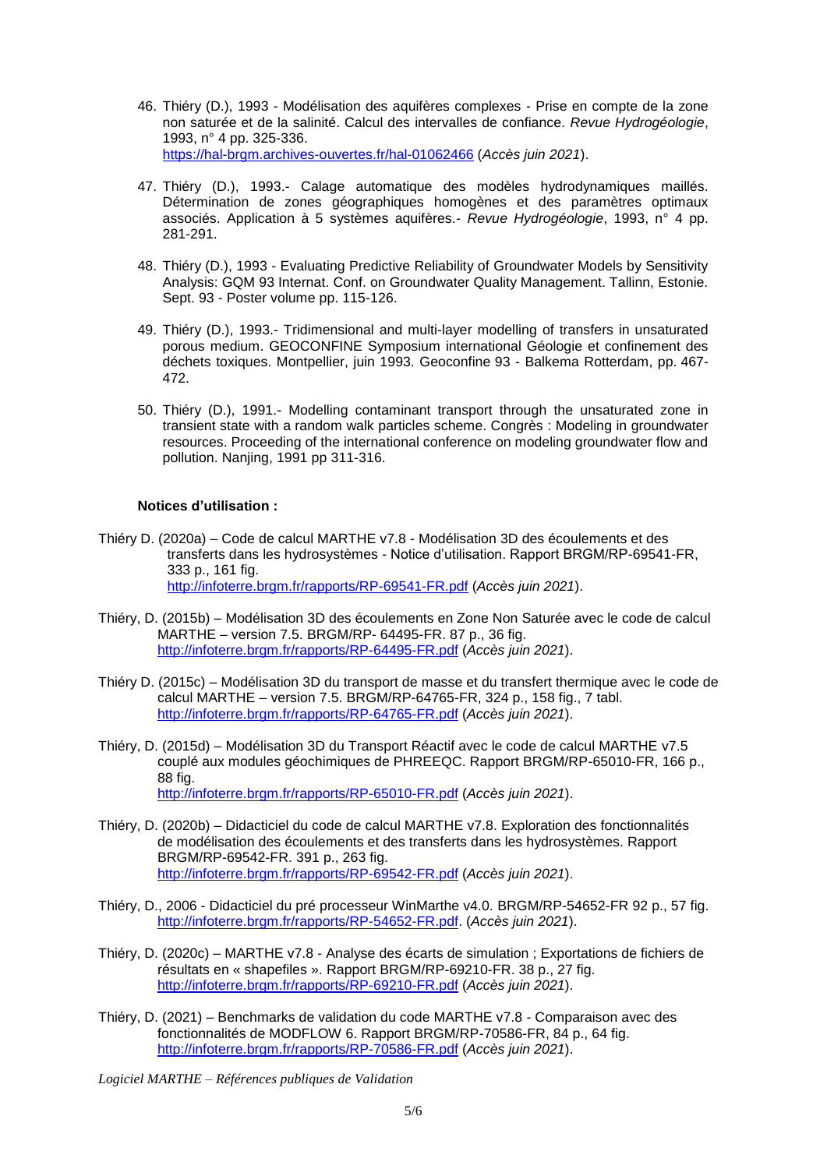- 46. Thiéry (D.), 1993 Modélisation des aquifères complexes Prise en compte de la zone non saturée et de la salinité. Calcul des intervalles de confiance. *Revue Hydrogéologie*, 1993, n° 4 pp. 325-336. <https://hal-brgm.archives-ouvertes.fr/hal-01062466> (*Accès juin 2021*).
- 47. Thiéry (D.), 1993.- Calage automatique des modèles hydrodynamiques maillés. Détermination de zones géographiques homogènes et des paramètres optimaux associés. Application à 5 systèmes aquifères.- *Revue Hydrogéologie*, 1993, n° 4 pp. 281-291.
- 48. Thiéry (D.), 1993 Evaluating Predictive Reliability of Groundwater Models by Sensitivity Analysis: GQM 93 Internat. Conf. on Groundwater Quality Management. Tallinn, Estonie. Sept. 93 - Poster volume pp. 115-126.
- 49. Thiéry (D.), 1993.- Tridimensional and multi-layer modelling of transfers in unsaturated porous medium. GEOCONFINE Symposium international Géologie et confinement des déchets toxiques. Montpellier, juin 1993. Geoconfine 93 - Balkema Rotterdam, pp. 467- 472.
- 50. Thiéry (D.), 1991.- Modelling contaminant transport through the unsaturated zone in transient state with a random walk particles scheme. Congrès : Modeling in groundwater resources. Proceeding of the international conference on modeling groundwater flow and pollution. Nanjing, 1991 pp 311-316.

## **Notices d'utilisation :**

- Thiéry D. (2020a) Code de calcul MARTHE v7.8 Modélisation 3D des écoulements et des transferts dans les hydrosystèmes - Notice d'utilisation. Rapport BRGM/RP-69541-FR, 333 p., 161 fig. <http://infoterre.brgm.fr/rapports/RP-69541-FR.pdf> (*Accès juin 2021*).
- Thiéry, D. (2015b) Modélisation 3D des écoulements en Zone Non Saturée avec le code de calcul MARTHE – version 7.5. BRGM/RP- 64495-FR. 87 p., 36 fig. <http://infoterre.brgm.fr/rapports/RP-64495-FR.pdf> (*Accès juin 2021*).
- Thiéry D. (2015c) Modélisation 3D du transport de masse et du transfert thermique avec le code de calcul MARTHE – version 7.5. BRGM/RP-64765-FR, 324 p., 158 fig., 7 tabl. <http://infoterre.brgm.fr/rapports/RP-64765-FR.pdf> (*Accès juin 2021*).
- Thiéry, D. (2015d) Modélisation 3D du Transport Réactif avec le code de calcul MARTHE v7.5 couplé aux modules géochimiques de PHREEQC. Rapport BRGM/RP-65010-FR, 166 p., 88 fig. <http://infoterre.brgm.fr/rapports/RP-65010-FR.pdf> (*Accès juin 2021*).
- Thiéry, D. (2020b) Didacticiel du code de calcul MARTHE v7.8. Exploration des fonctionnalités de modélisation des écoulements et des transferts dans les hydrosystèmes. Rapport BRGM/RP-69542-FR. 391 p., 263 fig. <http://infoterre.brgm.fr/rapports/RP-69542-FR.pdf> (*Accès juin 2021*).
- Thiéry, D., 2006 Didacticiel du pré processeur WinMarthe v4.0. BRGM/RP-54652-FR 92 p., 57 fig. [http://infoterre.brgm.fr/rapports/RP-54652-FR.pdf.](http://infoterre.brgm.fr/rapports/RP-54652-FR.pdf) (*Accès juin 2021*).
- Thiéry, D. (2020c) MARTHE v7.8 Analyse des écarts de simulation ; Exportations de fichiers de résultats en « shapefiles ». Rapport BRGM/RP-69210-FR. 38 p., 27 fig. <http://infoterre.brgm.fr/rapports/RP-69210-FR.pdf> (*Accès juin 2021*).
- Thiéry, D. (2021) Benchmarks de validation du code MARTHE v7.8 Comparaison avec des fonctionnalités de MODFLOW 6. Rapport BRGM/RP-70586-FR, 84 p., 64 fig. <http://infoterre.brgm.fr/rapports/RP-70586-FR.pdf> (*Accès juin 2021*).
- *Logiciel MARTHE – Références publiques de Validation*